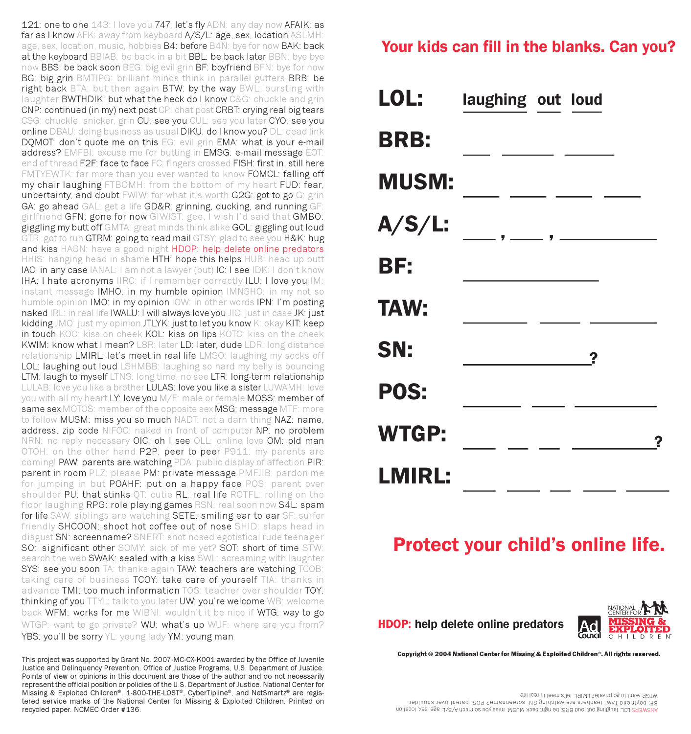121: one to one 143: I love you 747: let's fly ADN: any day now AFAIK: as far as I know AFK: away from keyboard A/S/L: age, sex, location ASLMH: age, sex, location, music, hobbies B4: before B4N: bye for now BAK: back at the keyboard BBIAB: be back in a bit BBL: be back later BBN: bye bye now BBS: be back soon BEG: big evil grin BF: boyfriend BFN: bye for now BG: big grin BMTIPG: brilliant minds think in parallel gutters BRB: be right back BTA: but then again BTW: by the way BWL: bursting with laughter BWTHDIK: but what the heck do I know C&G: chuckle and grin CNP: continued (in my) next post CP: chat post CRBT: crying real big tears CSG: chuckle, snicker, grin CU: see you CUL: see you later CYO: see you online DBAU: doing business as usual DIKU: do I know you? DL: dead link DQMOT: don't quote me on this EG: evil grin EMA: what is your e-mail address? EMFBI: excuse me for butting in EMSG: e-mail message EOT: end of thread F2F: face to face FC: fingers crossed FISH: first in, still here FMTYEWTK: far more than you ever wanted to know FOMCL: falling off my chair laughing FTBOMH: from the bottom of my heart FUD: fear, uncertainty, and doubt FWIW: for what it's worth G2G: got to go G: grin GA: go ahead GAL: get a life GD&R: grinning, ducking, and running GF girlfriend GFN: gone for now GIWIST: gee, I wish I'd said that GMBO: giggling my butt off GMTA: great minds think alike GOL: giggling out loud GTR: got to run GTRM: going to read mail GTSY: glad to see you H&K: hug and kiss HAGN: have a good night HDOP: help delete online predators HHIS: hanging head in shame HTH: hope this helps HUB: head up butt IAC: in any case IANAL: I am not a lawyer (but) IC: I see IDK: I don't know IHA: I hate acronyms IIRC: if I remember correctly ILU: I love you IM: instant message IMHO: in my humble opinion IMNSHO: in my not so humble opinion IMO: in my opinion IOW: in other words IPN: I'm posting naked IRL: in real life IWALU: I will always love you JIC: just in case JK: just kidding JMO: just my opinion JTLYK: just to let you know K: okay KIT: keep in touch KOC: kiss on cheek KOL: kiss on lips KOTC: kiss on the cheek KWIM: know what I mean? L8R: later LD: later, dude LDR: long distance relationship LMIRL: let's meet in real life LMSO: laughing my socks off LOL: laughing out loud LSHMBB: laughing so hard my belly is bouncing LTM: laugh to myself LTNS: long time, no see LTR: long-term relationship LULAB: love you like a brother LULAS: love you like a sister LUWAMH: love you with all my heart LY: love you M/F: male or female MOSS: member of same sex MOTOS: member of the opposite sex MSG: message MTF: more to follow MUSM: miss you so much NADT: not a darn thing NAZ: name, address, zip code NIFOC: naked in front of computer NP: no problem NRN: no reply necessary OIC: oh I see OLL: online love OM: old man OTOH: on the other hand P2P: peer to peer P911: my parents are coming! PAW: parents are watching PDA: public display of affection PIR: parent in room PLZ: please PM: private message PMFJIB: pardon me for jumping in but POAHF: put on a happy face POS: parent over shoulder PU: that stinks QT: cutie RL: real life ROTFL: rolling on the floor laughing RPG: role playing games RSN: real soon now S4L: spam for life SAW: siblings are watching SETE: smiling ear to ear SF: surfer friendly SHCOON: shoot hot coffee out of nose SHID: slaps head in disgust SN: screenname? SNERT: snot nosed egotistical rude teenager SO: significant other SOMY: sick of me yet? SOT: short of time STW: search the web SWAK: sealed with a kiss SWL: screaming with laughter SYS: see you soon TA: thanks again TAW: teachers are watching TCOB: taking care of business TCOY: take care of yourself TIA: thanks in advance TMI: too much information TOS: teacher over shoulder TOY: thinking of you TTYL: talk to you later UW: you're welcome WB: welcome back WFM: works for me WIBNI: wouldn't it be nice if WTG: way to go WTGP: want to go private? WU: what's up WUF: where are you from? YBS: you'll be sorry YL: young lady YM: young man

This project was supported by Grant No. 2007-MC-CX-K001 awarded by the Office of Juvenile Justice and Delinquency Prevention, Office of Justice Programs, U.S. Department of Justice. Points of view or opinions in this document are those of the author and do not necessarily represent the official position or policies of the U.S. Department of Justice. National Center for Missing & Exploited Children<sup>®</sup>, 1-800-THE-LOST<sup>®</sup>, CyberTipline<sup>®</sup>, and NetSmartz<sup>®</sup> are registered service marks of the National Center for Missing & Exploited Children. Printed on recycled paper. NCMEC Order #136.

## Your kids can fill in the blanks. Can you?

|               | LOL: laughing out loud |
|---------------|------------------------|
| <b>BRB:</b>   |                        |
| <b>MUSM:</b>  |                        |
| <b>A/S/L:</b> |                        |
| BF:           |                        |
| <b>TAW:</b>   |                        |
| SN:           | ?                      |
| POS:          |                        |
| <b>WTGP:</b>  | ?                      |
| <b>LMIRL:</b> |                        |

# Protect your child's online life.



Copyright © 2004 National Center for Missing & Exploited Children®. All rights reserved.

ANSWERS LOL: laughing out loud BRB: be right back MUSM: miss you so much A/S/L: age, sex, location ver shoulders are shoulder at the serienname? POS: parent over shoulder WTGP: want to go private? LMIRL: let's meet in real life